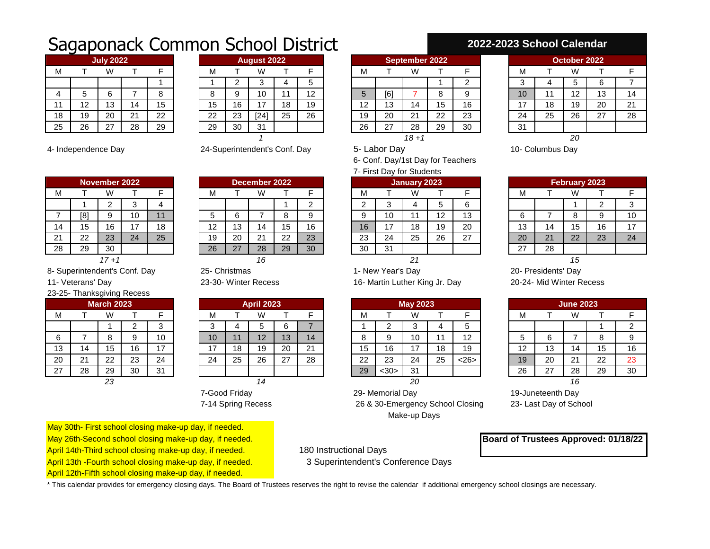## Sagaponack Common School District

| <b>July 2022</b> |    |    |    |    |  |  |  |  |  |  |  |  |
|------------------|----|----|----|----|--|--|--|--|--|--|--|--|
| м                |    | W  |    | F  |  |  |  |  |  |  |  |  |
|                  |    |    |    |    |  |  |  |  |  |  |  |  |
| 4                | 5  | 6  |    | 8  |  |  |  |  |  |  |  |  |
| 11               | 12 | 13 | 14 | 15 |  |  |  |  |  |  |  |  |
| 18               | 19 | 20 | 21 | 22 |  |  |  |  |  |  |  |  |
| 25               | 26 | 27 | 28 | 29 |  |  |  |  |  |  |  |  |

|    |     | <b>July 2022</b>   |    |                       |    |    | <b>August 2022</b> |    |                | September 2022 |           |                    |          |                 |    |            |    | October 2022 |    |    |
|----|-----|--------------------|----|-----------------------|----|----|--------------------|----|----------------|----------------|-----------|--------------------|----------|-----------------|----|------------|----|--------------|----|----|
| М  |     | ۱۸                 |    |                       | М  |    | W                  |    |                |                | M         |                    | W        |                 |    | IVI        |    |              |    |    |
|    |     |                    |    |                       |    |    | J                  |    |                |                |           |                    |          |                 |    | ◠<br>w     |    |              |    |    |
| 4  |     |                    |    |                       | o  |    |                    |    | 12<br><u>_</u> |                |           | [6]                |          |                 |    | 10         |    | .            | 13 | 14 |
|    | ' - | د. ا               | 14 | 1 <sub>5</sub><br>ن ا | 15 | 16 |                    | 18 | 19             |                | 10<br>' 4 | IJ                 | 14       | 15<br>ن ا       | 16 | . –<br>. . | 18 | 19           | 20 | 21 |
| 18 | 19  | 20                 | 21 | 22                    | 22 | 23 | [24]               | 25 | 26             |                | 19        | 20                 | 21       | 22<br><u>__</u> | 23 | 24         | 25 | 26           | 27 | 28 |
| 25 | 26  | $\sim$<br><u>.</u> | 28 | 29                    | 29 | 30 | 31                 |    |                |                | 26        | $\sim$<br><u>.</u> | 28       | 29              | 30 | 31         |    |              |    |    |
|    |     |                    |    |                       |    |    |                    |    |                |                |           |                    | $18 + 1$ |                 |    |            |    | 20           |    |    |

| November 2022 |     |    |    |    |  |  |  |  |  |  |  |
|---------------|-----|----|----|----|--|--|--|--|--|--|--|
| м             |     | W  |    | F  |  |  |  |  |  |  |  |
|               |     | 2  | 3  |    |  |  |  |  |  |  |  |
|               | [8] | 9  | 10 | 11 |  |  |  |  |  |  |  |
| 14            | 15  | 16 | 17 | 18 |  |  |  |  |  |  |  |
| 21            | 22  | 23 | 24 | 25 |  |  |  |  |  |  |  |
| 28            | 29  | 30 |    |    |  |  |  |  |  |  |  |
| 47.4          |     |    |    |    |  |  |  |  |  |  |  |

4- Independence Day 24-Superintendent's Conf. Day 5- Labor Day 10- Columbus Day

|                            |    |    |  |    |    |                 |    |    |              | <i>I</i> - FINST DAY TOT STUDETTS |    |    |    |        |    |    |
|----------------------------|----|----|--|----|----|-----------------|----|----|--------------|-----------------------------------|----|----|----|--------|----|----|
| mber 2022<br>December 2022 |    |    |  |    |    |                 |    |    | January 2023 |                                   |    |    |    | Februa |    |    |
| W                          |    |    |  | М  |    | W               |    |    | м            |                                   | W  |    |    | М      |    | W  |
|                            |    |    |  |    |    |                 |    |    |              |                                   |    |    | 6  |        |    |    |
|                            | 10 |    |  | G  |    |                 | о  |    |              | 10                                |    | 12 | 13 | 6      |    | 8  |
| 16                         |    | 18 |  | 12 | 13 | 14              | 15 | 16 | 16           |                                   | 18 | 19 | 20 | 13     | 14 | 15 |
| 23                         | 24 | 25 |  | 19 | 20 | <b>01</b><br>∠∣ | 22 | 23 | 23           | 24                                | 25 | 26 | 27 | 20     | 21 | 22 |
| 30                         |    |    |  | 26 | 27 | 28              | 29 | 30 | 30           | 31                                |    |    |    | 27     | 28 |    |
| $17 + 1$                   |    |    |  |    |    |                 |    |    |              |                                   |    |    |    |        |    | 15 |

## **2022-2023 School Calendar**

| <b>September 2022</b> |     |    |    |    |  |  |  |  |  |  |  |  |
|-----------------------|-----|----|----|----|--|--|--|--|--|--|--|--|
| М                     |     |    |    | F  |  |  |  |  |  |  |  |  |
|                       |     |    |    | 2  |  |  |  |  |  |  |  |  |
| 5                     | [6] |    | 8  | 9  |  |  |  |  |  |  |  |  |
| 12                    | 13  | 14 | 15 | 16 |  |  |  |  |  |  |  |  |
| 19                    | 20  | 21 | 22 | 23 |  |  |  |  |  |  |  |  |
| 26                    | 27  | 28 | 29 | 30 |  |  |  |  |  |  |  |  |
|                       |     |    |    |    |  |  |  |  |  |  |  |  |

6- Conf. Day/1st Day for Teachers

| 7- First Day for Students |  |
|---------------------------|--|
|---------------------------|--|

|               |               | November 2022            |                                      |    |         |    | December 2022            |          |    | January 2023 |         |               |                            |               |           |                     | February 2023            |    |    |
|---------------|---------------|--------------------------|--------------------------------------|----|---------|----|--------------------------|----------|----|--------------|---------|---------------|----------------------------|---------------|-----------|---------------------|--------------------------|----|----|
| IVI           |               | VV.                      |                                      |    | М       |    | W                        |          |    | IV.          |         | W             |                            |               | 1 V I     |                     |                          |    |    |
|               |               |                          | ∽                                    |    |         |    |                          |          |    |              |         |               |                            |               |           |                     |                          |    |    |
| $\rightarrow$ | [8]           |                          | $\overline{A}$ $\overline{A}$<br>ט ו |    | ∽<br>ັບ |    |                          |          |    |              | 10      |               | $\overline{ }$<br><u>_</u> | 13            | ◠<br>ь    |                     |                          |    | 10 |
| 14            | $-$<br>∽<br>◡ | 6                        | 47<br>. .                            | 18 | 12      | 13 | 14                       | г<br>ັ   | 16 | 16           |         | 18            | 19                         | 20            | 10<br>ں ا | 14                  | ◡                        | 16 | 17 |
| 04<br>∠ ।     | $\sim$<br>∼   | 23                       | 24                                   | 25 | 19      | 20 | 21                       | ററ<br>∠∠ | 23 | ົດລ<br>د∠    | 24      | 25            | 26                         | $\sim$<br>ا ے | 20        | $\mathcal{L}$<br>∠∣ | $\Omega$                 | 23 | 24 |
| 28            | 29            | 30                       |                                      |    | 26      | 27 | 28                       | 29       | 30 | 30           | 31<br>ັ |               |                            |               | 27        | 28                  |                          |    |    |
|               |               | $\overline{\phantom{a}}$ |                                      |    |         |    | $\overline{\phantom{a}}$ |          |    |              |         | $\sim$ $\sim$ |                            |               |           |                     | $\overline{\phantom{a}}$ |    |    |

|    |    | I GUI UGI Y LULU |    |    |
|----|----|------------------|----|----|
| м  |    | W                |    | F  |
|    |    |                  | 2  | 3  |
| 6  |    | 8                | 9  | 10 |
| 13 | 14 | 15               | 16 | 17 |
| 20 | 21 | 22               | 23 | 24 |
| 27 | 28 |                  |    |    |
|    |    |                  |    |    |

8- Superintendent's Conf. Day 25- Christmas 20- New Year's Day 20- Presidents' Day

23-25- Thanksgiving Recess

|               |         | <b>March 2023</b> |    |        |     |    | <b>April 2023</b> |            |          | <b>May 2023</b> |    |      |    |    |     |                   |           | June |
|---------------|---------|-------------------|----|--------|-----|----|-------------------|------------|----------|-----------------|----|------|----|----|-----|-------------------|-----------|------|
| M             |         | W                 |    |        | ΙVΙ |    | W                 |            |          |                 | М  |      | W  |    |     | м                 |           | W    |
|               |         |                   | _  | ົ<br>ບ | ∽   |    |                   |            |          |                 |    |      | ╭  |    | ∽   |                   |           |      |
| 6             |         |                   | v. | 10     | 10  |    | 12                | 1 ລ<br>ن ا | 14       |                 | o  | J    | 10 |    | 12  |                   | ◠         |      |
| 13            | 14      | 15                | 16 | 17     | 17  | 18 | 19                | 20         | $\Omega$ |                 | 15 | 16   | 17 | 18 | 19  | $\sqrt{2}$<br>' - | 12<br>ن ا | 14   |
| 20            | ິ<br>∠∣ | つつ<br>∠∠          | 23 | 24     | 24  | 25 | 26                | -27        | 28       |                 | 22 | 23   | 24 | 25 | <26 | 19                | 20        | 21   |
| $\sim$<br>ر ے | 28      | 29                | 30 | 31     |     |    |                   |            |          |                 | 29 | $30$ | 31 |    |     | 26                | 27        | 28   |
|               |         | 23                |    |        |     |    | 14                |            |          |                 |    |      | 20 |    |     |                   |           | 16   |

| <b>April 2023</b> |    |    |    |    |  |  |  |  |  |  |  |
|-------------------|----|----|----|----|--|--|--|--|--|--|--|
| м                 | т  | W  | т  |    |  |  |  |  |  |  |  |
| 3                 | 4  | 5  | 6  |    |  |  |  |  |  |  |  |
| 10                | 11 | 12 | 13 | 14 |  |  |  |  |  |  |  |
| 17                | 18 | 19 | 20 | 21 |  |  |  |  |  |  |  |
| 24                | 25 | 26 | 27 | 28 |  |  |  |  |  |  |  |
|                   |    |    |    |    |  |  |  |  |  |  |  |
|                   |    |    |    |    |  |  |  |  |  |  |  |

11- Veterans' Day 23-30- Winter Recess 16- Martin Luther King Jr. Day 20-24- Mid Winter Recess

|             |               |                   | .  |                |                    |                                      |               |           |               |                  |      |                |    |     |                   |           |                          |    |    |
|-------------|---------------|-------------------|----|----------------|--------------------|--------------------------------------|---------------|-----------|---------------|------------------|------|----------------|----|-----|-------------------|-----------|--------------------------|----|----|
|             |               | <b>March 2023</b> |    |                |                    | <b>April 2023</b><br><b>May 2023</b> |               |           |               | <b>June 2023</b> |      |                |    |     |                   |           |                          |    |    |
| M           |               | W                 |    |                | M                  |                                      | W             |           |               | M.               |      | W              |    |     | ΙVΙ               |           |                          |    |    |
|             |               |                   | ∽  |                | ╭<br>ີ             |                                      | u             |           |               |                  |      |                |    |     |                   |           |                          |    |    |
| $\sim$<br>6 |               |                   | ⌒  |                | 10                 |                                      | $\sim$<br>' 4 | 12<br>. ט | 14            |                  |      | 10             |    | 12  | ັ                 |           |                          |    | 9  |
| 13          | Δ             | ن ا               | 16 | $\overline{ }$ | 47<br>$\mathbf{I}$ | 18                                   | 19            | 20        | $\Omega$<br>▴ | 15               | 16   | $\overline{A}$ | 18 | 19  | $\sqrt{2}$<br>' 4 | 10<br>ں ا | $\boldsymbol{\varDelta}$ | 15 | 16 |
| 20          | ິ<br><u>_</u> | 22                | 23 | 24             | 24                 | 25                                   | 26            | 27        | 28            | ററ<br>$\epsilon$ | 23   | 24             | 25 | <26 | 19                | 20        | $\sim$<br><u>. </u>      | 22 | 23 |
| 27          | 28            | 29                | 30 | 31             |                    |                                      |               |           |               | 29               | $30$ | 31             |    |     | 26                | -27       | 28                       | 29 | 30 |

7-Good Friday 29- Memorial Day 19-Juneteenth Day 7-14 Spring Recess 26 & 30-Emergency School Closing 23- Last Day of School Make-up Days

| <b>June 2023</b> |    |                 |    |    |  |  |  |  |  |  |  |
|------------------|----|-----------------|----|----|--|--|--|--|--|--|--|
| М                |    | W               |    |    |  |  |  |  |  |  |  |
|                  |    |                 |    | 2  |  |  |  |  |  |  |  |
| 5                | 6  |                 | 8  | 9  |  |  |  |  |  |  |  |
| 12               | 13 | 14              | 15 | 16 |  |  |  |  |  |  |  |
| 19               | 20 | 21              | 22 | 23 |  |  |  |  |  |  |  |
| $\overline{26}$  | 27 | $\overline{29}$ | 30 |    |  |  |  |  |  |  |  |
| 16               |    |                 |    |    |  |  |  |  |  |  |  |

May 26th-Second school closing make-up day, if needed. **Board of Trustees Approved: 01/18/22** 

May 30th- First school closing make-up day, if needed.

- April 14th-Third school closing make-up day, if needed. 180 Instructional Days
- April 13th -Fourth school closing make-up day, if needed. 3 Superintendent's Conference Days

April 12th-Fifth school closing make-up day, if needed.

\* This calendar provides for emergency closing days. The Board of Trustees reserves the right to revise the calendar if additional emergency school closings are necessary.